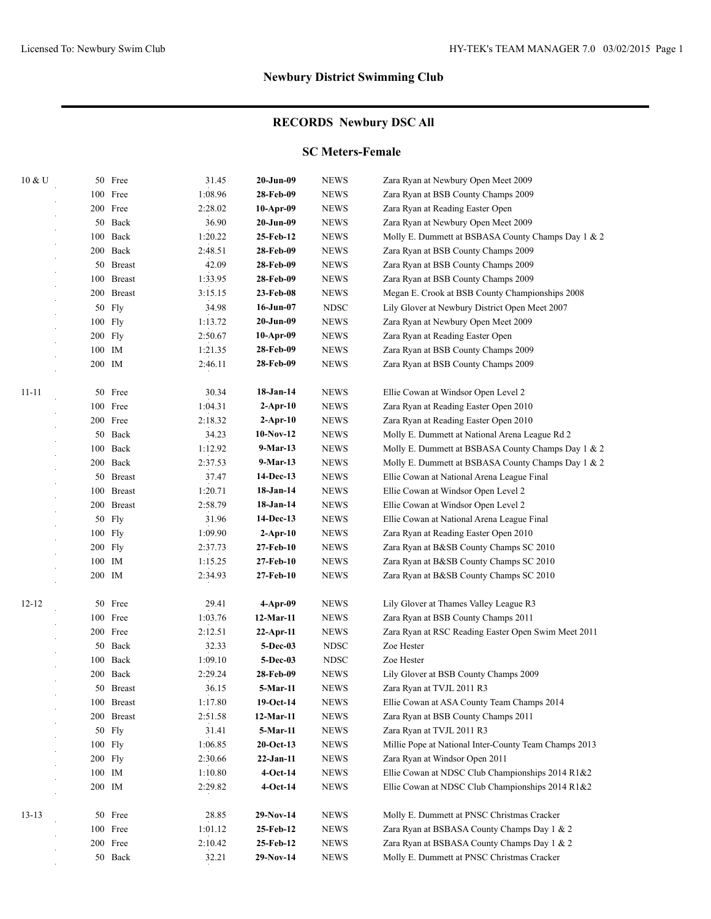# **RECORDS Newbury DSC All**

#### **SC Meters-Female**

| 10 & U    | 50 Free      | 31.45   | 20-Jun-09    | <b>NEWS</b> | Zara Ryan at Newbury Open Meet 2009                   |
|-----------|--------------|---------|--------------|-------------|-------------------------------------------------------|
|           | 100 Free     | 1:08.96 | 28-Feb-09    | <b>NEWS</b> | Zara Ryan at BSB County Champs 2009                   |
|           | 200 Free     | 2:28.02 | $10-Apr-09$  | <b>NEWS</b> | Zara Ryan at Reading Easter Open                      |
|           | 50 Back      | 36.90   | 20-Jun-09    | <b>NEWS</b> | Zara Ryan at Newbury Open Meet 2009                   |
|           | 100 Back     | 1:20.22 | 25-Feb-12    | <b>NEWS</b> | Molly E. Dummett at BSBASA County Champs Day 1 & 2    |
|           | 200 Back     | 2:48.51 | 28-Feb-09    | <b>NEWS</b> | Zara Ryan at BSB County Champs 2009                   |
|           | 50 Breast    | 42.09   | 28-Feb-09    | <b>NEWS</b> | Zara Ryan at BSB County Champs 2009                   |
|           | 100 Breast   | 1:33.95 | 28-Feb-09    | <b>NEWS</b> | Zara Ryan at BSB County Champs 2009                   |
|           | 200 Breast   | 3:15.15 | 23-Feb-08    | <b>NEWS</b> | Megan E. Crook at BSB County Championships 2008       |
|           | 50 Fly       | 34.98   | 16-Jun-07    | <b>NDSC</b> | Lily Glover at Newbury District Open Meet 2007        |
|           | $100$ Fly    | 1:13.72 | 20-Jun-09    | <b>NEWS</b> | Zara Ryan at Newbury Open Meet 2009                   |
|           | 200 Fly      | 2:50.67 | 10-Apr-09    | <b>NEWS</b> | Zara Ryan at Reading Easter Open                      |
|           | 100 IM       | 1:21.35 | 28-Feb-09    | <b>NEWS</b> | Zara Ryan at BSB County Champs 2009                   |
|           | 200 IM       | 2:46.11 | 28-Feb-09    | <b>NEWS</b> | Zara Ryan at BSB County Champs 2009                   |
| $11 - 11$ | 50 Free      | 30.34   | 18-Jan-14    | <b>NEWS</b> | Ellie Cowan at Windsor Open Level 2                   |
|           | 100 Free     | 1:04.31 | $2$ -Apr-10  | <b>NEWS</b> | Zara Ryan at Reading Easter Open 2010                 |
|           | 200 Free     | 2:18.32 | $2-Apr-10$   | <b>NEWS</b> | Zara Ryan at Reading Easter Open 2010                 |
|           | 50 Back      | 34.23   | $10-Nov-12$  | <b>NEWS</b> | Molly E. Dummett at National Arena League Rd 2        |
|           | 100 Back     | 1:12.92 | 9-Mar-13     | <b>NEWS</b> | Molly E. Dummett at BSBASA County Champs Day 1 & 2    |
|           | 200 Back     | 2:37.53 | 9-Mar-13     | <b>NEWS</b> | Molly E. Dummett at BSBASA County Champs Day 1 & 2    |
|           | 50 Breast    | 37.47   | 14-Dec-13    | <b>NEWS</b> | Ellie Cowan at National Arena League Final            |
|           | 100 Breast   | 1:20.71 | 18-Jan-14    | <b>NEWS</b> | Ellie Cowan at Windsor Open Level 2                   |
|           | 200 Breast   | 2:58.79 | 18-Jan-14    | <b>NEWS</b> | Ellie Cowan at Windsor Open Level 2                   |
|           | 50 Fly       | 31.96   | 14-Dec-13    | <b>NEWS</b> | Ellie Cowan at National Arena League Final            |
|           | 100 Fly      | 1:09.90 | $2$ -Apr-10  | <b>NEWS</b> | Zara Ryan at Reading Easter Open 2010                 |
|           | 200 Fly      | 2:37.73 | 27-Feb-10    | <b>NEWS</b> | Zara Ryan at B&SB County Champs SC 2010               |
|           | 100 IM       | 1:15.25 | 27-Feb-10    | <b>NEWS</b> | Zara Ryan at B&SB County Champs SC 2010               |
|           | 200 IM       | 2:34.93 | 27-Feb-10    | <b>NEWS</b> | Zara Ryan at B&SB County Champs SC 2010               |
| $12 - 12$ | 50 Free      | 29.41   | $4-Apr-09$   | <b>NEWS</b> | Lily Glover at Thames Valley League R3                |
|           | 100 Free     | 1:03.76 | 12-Mar-11    | <b>NEWS</b> | Zara Ryan at BSB County Champs 2011                   |
|           | 200 Free     | 2:12.51 | $22-Apr-11$  | <b>NEWS</b> | Zara Ryan at RSC Reading Easter Open Swim Meet 2011   |
|           | 50 Back      | 32.33   | 5-Dec-03     | <b>NDSC</b> | Zoe Hester                                            |
|           | 100 Back     | 1:09.10 | 5-Dec-03     | <b>NDSC</b> | Zoe Hester                                            |
|           | 200 Back     | 2:29.24 | 28-Feb-09    | <b>NEWS</b> | Lily Glover at BSB County Champs 2009                 |
| ×         | 50 Breast    | 36.15   | 5-Mar-11     | <b>NEWS</b> | Zara Ryan at TVJL 2011 R3                             |
|           | 100 Breast   | 1:17.80 | 19-Oct-14    | <b>NEWS</b> | Ellie Cowan at ASA County Team Champs 2014            |
|           | 200 Breast   | 2:51.58 | 12-Mar-11    | <b>NEWS</b> | Zara Ryan at BSB County Champs 2011                   |
|           | 50 Fly       | 31.41   | 5-Mar-11     | <b>NEWS</b> | Zara Ryan at TVJL 2011 R3                             |
|           | 100 Fly      | 1:06.85 | $20$ -Oct-13 | <b>NEWS</b> | Millie Pope at National Inter-County Team Champs 2013 |
|           | 200 Fly      | 2:30.66 | $22-Jan-11$  | <b>NEWS</b> | Zara Ryan at Windsor Open 2011                        |
|           | 100 IM       | 1:10.80 | $4-Oct-14$   | <b>NEWS</b> | Ellie Cowan at NDSC Club Championships 2014 R1&2      |
|           | $200\;\;$ IM | 2:29.82 | $4-Oct-14$   | <b>NEWS</b> | Ellie Cowan at NDSC Club Championships 2014 R1&2      |
| $13 - 13$ | 50 Free      | 28.85   | 29-Nov-14    | <b>NEWS</b> | Molly E. Dummett at PNSC Christmas Cracker            |
|           | 100 Free     | 1:01.12 | 25-Feb-12    | <b>NEWS</b> | Zara Ryan at BSBASA County Champs Day 1 & 2           |
|           | 200 Free     | 2:10.42 | 25-Feb-12    | <b>NEWS</b> | Zara Ryan at BSBASA County Champs Day 1 & 2           |
|           | 50 Back      | 32.21   | $29-Nov-14$  | <b>NEWS</b> | Molly E. Dummett at PNSC Christmas Cracker            |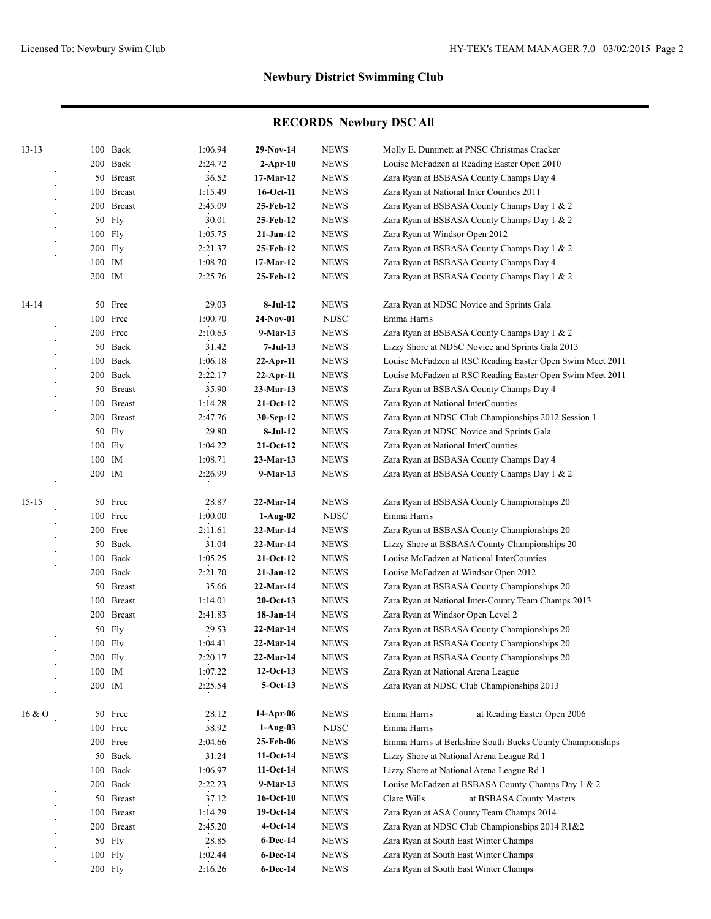| $13 - 13$ |         | 100 Back      | 1:06.94 | 29-Nov-14              | <b>NEWS</b> | Molly E. Dummett at PNSC Christmas Cracker                |
|-----------|---------|---------------|---------|------------------------|-------------|-----------------------------------------------------------|
|           |         | 200 Back      | 2:24.72 | $2-Apr-10$             | <b>NEWS</b> | Louise McFadzen at Reading Easter Open 2010               |
|           |         | 50 Breast     | 36.52   | 17-Mar-12              | <b>NEWS</b> | Zara Ryan at BSBASA County Champs Day 4                   |
|           |         | 100 Breast    | 1:15.49 | 16-Oct-11              | <b>NEWS</b> | Zara Ryan at National Inter Counties 2011                 |
|           |         | 200 Breast    | 2:45.09 | 25-Feb-12              | <b>NEWS</b> | Zara Ryan at BSBASA County Champs Day 1 & 2               |
|           |         | 50 Fly        | 30.01   | 25-Feb-12              | <b>NEWS</b> | Zara Ryan at BSBASA County Champs Day 1 & 2               |
|           |         | 100 Fly       | 1:05.75 | $21-Jan-12$            | <b>NEWS</b> | Zara Ryan at Windsor Open 2012                            |
|           | 200 Fly |               | 2:21.37 | 25-Feb-12              | <b>NEWS</b> | Zara Ryan at BSBASA County Champs Day 1 & 2               |
|           | 100 IM  |               | 1:08.70 | 17-Mar-12              | <b>NEWS</b> | Zara Ryan at BSBASA County Champs Day 4                   |
|           | 200 IM  |               | 2:25.76 | 25-Feb-12              | <b>NEWS</b> | Zara Ryan at BSBASA County Champs Day 1 & 2               |
| 14-14     |         | 50 Free       | 29.03   | 8-Jul-12               | <b>NEWS</b> |                                                           |
|           |         | 100 Free      | 1:00.70 | $24-Nov-01$            | <b>NDSC</b> | Zara Ryan at NDSC Novice and Sprints Gala<br>Emma Harris  |
|           |         | 200 Free      | 2:10.63 | 9-Mar-13               | <b>NEWS</b> | Zara Ryan at BSBASA County Champs Day 1 & 2               |
|           |         | 50 Back       | 31.42   | 7-Jul-13               | <b>NEWS</b> | Lizzy Shore at NDSC Novice and Sprints Gala 2013          |
|           |         | 100 Back      | 1:06.18 | $22$ -Apr-11           | <b>NEWS</b> | Louise McFadzen at RSC Reading Easter Open Swim Meet 2011 |
|           |         | 200 Back      | 2:22.17 |                        | <b>NEWS</b> | Louise McFadzen at RSC Reading Easter Open Swim Meet 2011 |
|           |         | 50 Breast     | 35.90   | 22-Apr-11<br>23-Mar-13 | <b>NEWS</b> | Zara Ryan at BSBASA County Champs Day 4                   |
|           |         | 100 Breast    | 1:14.28 | $21-Oct-12$            | <b>NEWS</b> | Zara Ryan at National InterCounties                       |
|           |         | 200 Breast    | 2:47.76 | 30-Sep-12              | <b>NEWS</b> | Zara Ryan at NDSC Club Championships 2012 Session 1       |
|           |         | 50 Fly        | 29.80   | $8-Jul-12$             | <b>NEWS</b> | Zara Ryan at NDSC Novice and Sprints Gala                 |
|           |         | 100 Fly       | 1:04.22 | $21-Oct-12$            | <b>NEWS</b> | Zara Ryan at National InterCounties                       |
|           | 100 IM  |               | 1:08.71 | 23-Mar-13              | <b>NEWS</b> | Zara Ryan at BSBASA County Champs Day 4                   |
|           | 200 IM  |               | 2:26.99 | 9-Mar-13               | <b>NEWS</b> | Zara Ryan at BSBASA County Champs Day 1 & 2               |
|           |         |               |         |                        |             |                                                           |
| $15 - 15$ |         | 50 Free       | 28.87   | 22-Mar-14              | <b>NEWS</b> | Zara Ryan at BSBASA County Championships 20               |
|           |         | 100 Free      | 1:00.00 | $1-Aug-02$             | <b>NDSC</b> | Emma Harris                                               |
|           |         | 200 Free      | 2:11.61 | 22-Mar-14              | <b>NEWS</b> | Zara Ryan at BSBASA County Championships 20               |
|           |         | 50 Back       | 31.04   | 22-Mar-14              | <b>NEWS</b> | Lizzy Shore at BSBASA County Championships 20             |
|           |         | 100 Back      | 1:05.25 | $21-Oct-12$            | <b>NEWS</b> | Louise McFadzen at National InterCounties                 |
|           |         | 200 Back      | 2:21.70 | $21-Jan-12$            | <b>NEWS</b> | Louise McFadzen at Windsor Open 2012                      |
|           |         | 50 Breast     | 35.66   | 22-Mar-14              | <b>NEWS</b> | Zara Ryan at BSBASA County Championships 20               |
|           |         | 100 Breast    | 1:14.01 | $20$ -Oct-13           | <b>NEWS</b> | Zara Ryan at National Inter-County Team Champs 2013       |
|           | 200     | <b>Breast</b> | 2:41.83 | 18-Jan-14              | <b>NEWS</b> | Zara Ryan at Windsor Open Level 2                         |
|           | 50      | Fly           | 29.53   | 22-Mar-14              | <b>NEWS</b> | Zara Ryan at BSBASA County Championships 20               |
|           |         | 100 Fly       | 1:04.41 | 22-Mar-14              | <b>NEWS</b> | Zara Ryan at BSBASA County Championships 20               |
|           |         | $200$ Fly     | 2:20.17 | 22-Mar-14              | <b>NEWS</b> | Zara Ryan at BSBASA County Championships 20               |
|           | 100 IM  |               | 1:07.22 | $12-Oct-13$            | <b>NEWS</b> | Zara Ryan at National Arena League                        |
|           | 200 IM  |               | 2:25.54 | $5-Oct-13$             | <b>NEWS</b> | Zara Ryan at NDSC Club Championships 2013                 |
| 16 & O    |         | 50 Free       | 28.12   | 14-Apr-06              | <b>NEWS</b> | Emma Harris<br>at Reading Easter Open 2006                |
|           |         | 100 Free      | 58.92   | $1-Aug-03$             | <b>NDSC</b> | Emma Harris                                               |
|           |         | 200 Free      | 2:04.66 | 25-Feb-06              | <b>NEWS</b> | Emma Harris at Berkshire South Bucks County Championships |
|           |         | 50 Back       | 31.24   | $11-Oct-14$            | <b>NEWS</b> | Lizzy Shore at National Arena League Rd 1                 |
|           |         | 100 Back      | 1:06.97 | $11-Oct-14$            | <b>NEWS</b> | Lizzy Shore at National Arena League Rd 1                 |
|           |         | 200 Back      | 2:22.23 | 9-Mar-13               | <b>NEWS</b> | Louise McFadzen at BSBASA County Champs Day 1 & 2         |
|           |         | 50 Breast     | 37.12   | $16$ -Oct- $10$        | <b>NEWS</b> | Clare Wills<br>at BSBASA County Masters                   |
|           |         | 100 Breast    | 1:14.29 | 19-Oct-14              | <b>NEWS</b> | Zara Ryan at ASA County Team Champs 2014                  |
|           |         | 200 Breast    | 2:45.20 | $4-Oct-14$             | <b>NEWS</b> | Zara Ryan at NDSC Club Championships 2014 R1&2            |
|           |         | 50 Fly        | 28.85   | 6-Dec-14               | <b>NEWS</b> | Zara Ryan at South East Winter Champs                     |
|           |         | 100 Fly       | 1:02.44 | 6-Dec-14               | <b>NEWS</b> | Zara Ryan at South East Winter Champs                     |
|           |         | 200 Fly       | 2:16.26 | 6-Dec-14               | <b>NEWS</b> | Zara Ryan at South East Winter Champs                     |
|           |         |               |         |                        |             |                                                           |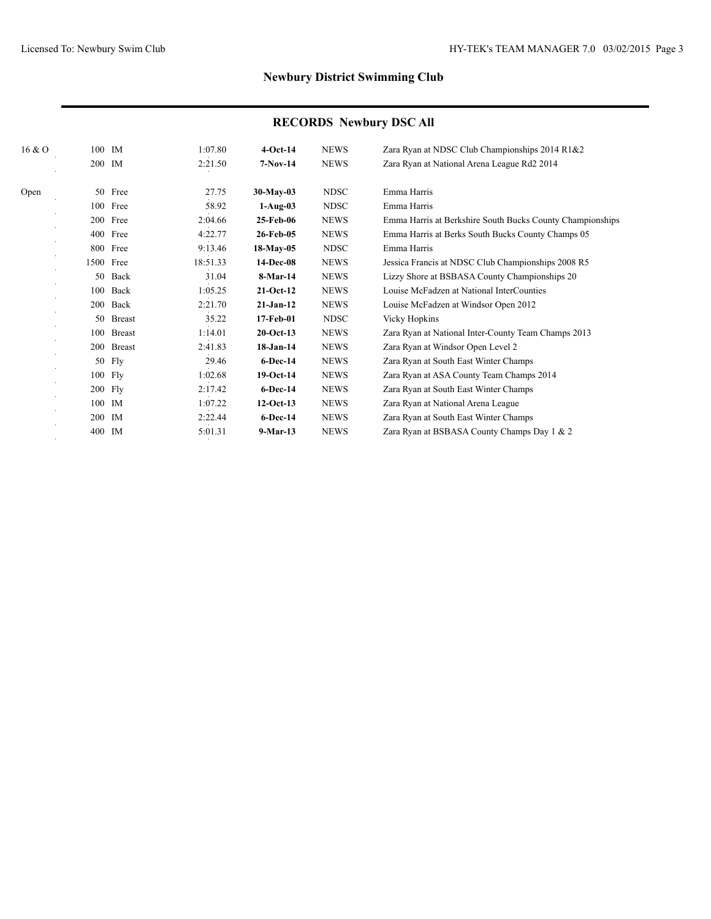| 16 & O |            | 100 IM        | 1:07.80  | $4-Oct-14$   | <b>NEWS</b> | Zara Ryan at NDSC Club Championships 2014 R1&2            |
|--------|------------|---------------|----------|--------------|-------------|-----------------------------------------------------------|
|        | 200 IM     |               | 2:21.50  | $7-Nov-14$   | <b>NEWS</b> | Zara Ryan at National Arena League Rd2 2014               |
| Open   |            | 50 Free       | 27.75    | $30-May-03$  | <b>NDSC</b> | Emma Harris                                               |
|        |            | 100 Free      | 58.92    | $1-Aug-03$   | <b>NDSC</b> | Emma Harris                                               |
|        |            | 200 Free      | 2:04.66  | 25-Feb-06    | <b>NEWS</b> | Emma Harris at Berkshire South Bucks County Championships |
|        | 400        | Free          | 4:22.77  | 26-Feb-05    | <b>NEWS</b> | Emma Harris at Berks South Bucks County Champs 05         |
|        |            | 800 Free      | 9:13.46  | $18-May-05$  | <b>NDSC</b> | Emma Harris                                               |
|        |            | 1500 Free     | 18:51.33 | 14-Dec-08    | <b>NEWS</b> | Jessica Francis at NDSC Club Championships 2008 R5        |
|        | 50         | Back          | 31.04    | 8-Mar-14     | <b>NEWS</b> | Lizzy Shore at BSBASA County Championships 20             |
|        | 100        | Back          | 1:05.25  | $21-Oct-12$  | <b>NEWS</b> | Louise McFadzen at National InterCounties                 |
|        | 200        | Back          | 2:21.70  | $21-Jan-12$  | <b>NEWS</b> | Louise McFadzen at Windsor Open 2012                      |
|        | 50         | <b>Breast</b> | 35.22    | 17-Feb-01    | <b>NDSC</b> | <b>Vicky Hopkins</b>                                      |
|        | 100        | <b>Breast</b> | 1:14.01  | $20$ -Oct-13 | <b>NEWS</b> | Zara Ryan at National Inter-County Team Champs 2013       |
|        |            | 200 Breast    | 2:41.83  | 18-Jan-14    | <b>NEWS</b> | Zara Ryan at Windsor Open Level 2                         |
|        | 50         | Fly           | 29.46    | $6$ -Dec-14  | <b>NEWS</b> | Zara Ryan at South East Winter Champs                     |
|        |            | 100 Fly       | 1:02.68  | 19-Oct-14    | <b>NEWS</b> | Zara Ryan at ASA County Team Champs 2014                  |
|        |            | 200 Fly       | 2:17.42  | $6$ -Dec-14  | <b>NEWS</b> | Zara Ryan at South East Winter Champs                     |
|        |            | 100 IM        | 1:07.22  | $12-Oct-13$  | <b>NEWS</b> | Zara Ryan at National Arena League                        |
|        | <b>200</b> | IM            | 2:22.44  | $6$ -Dec-14  | <b>NEWS</b> | Zara Ryan at South East Winter Champs                     |
|        | 400        | IM            | 5:01.31  | $9-Mar-13$   | <b>NEWS</b> | Zara Ryan at BSBASA County Champs Day 1 & 2               |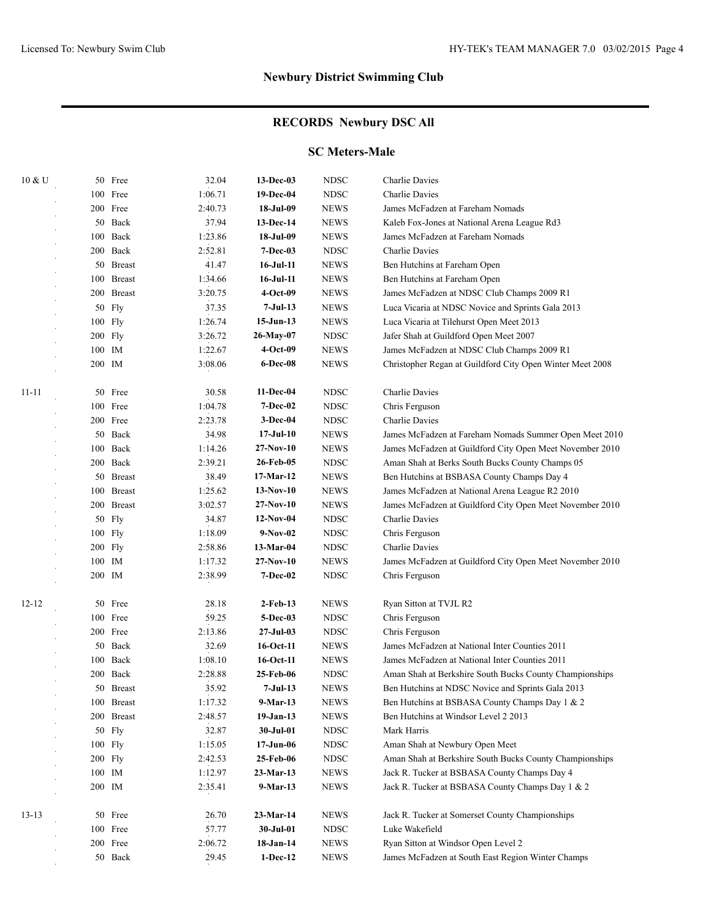# **RECORDS Newbury DSC All**

#### **SC Meters-Male**

| 10 & U    |         | 50 Free    | 32.04   | $13-Dec-03$      | <b>NDSC</b> | Charlie Davies                                            |
|-----------|---------|------------|---------|------------------|-------------|-----------------------------------------------------------|
|           |         | 100 Free   | 1:06.71 | 19-Dec-04        | <b>NDSC</b> | Charlie Davies                                            |
|           |         | 200 Free   | 2:40.73 | 18-Jul-09        | <b>NEWS</b> | James McFadzen at Fareham Nomads                          |
|           |         | 50 Back    | 37.94   | 13-Dec-14        | <b>NEWS</b> | Kaleb Fox-Jones at National Arena League Rd3              |
|           |         | 100 Back   | 1:23.86 | 18-Jul-09        | <b>NEWS</b> | James McFadzen at Fareham Nomads                          |
|           |         | 200 Back   | 2:52.81 | $7 - Dec-03$     | <b>NDSC</b> | Charlie Davies                                            |
|           |         | 50 Breast  | 41.47   | $16$ -Jul- $11$  | <b>NEWS</b> | Ben Hutchins at Fareham Open                              |
|           |         | 100 Breast | 1:34.66 | $16$ -Jul- $11$  | <b>NEWS</b> | Ben Hutchins at Fareham Open                              |
|           |         | 200 Breast | 3:20.75 | $4-Oct-09$       | <b>NEWS</b> | James McFadzen at NDSC Club Champs 2009 R1                |
|           |         | 50 Fly     | 37.35   | $7-Jul-13$       | <b>NEWS</b> | Luca Vicaria at NDSC Novice and Sprints Gala 2013         |
|           | 100 Fly |            | 1:26.74 | $15-Jun-13$      | <b>NEWS</b> | Luca Vicaria at Tilehurst Open Meet 2013                  |
|           |         | 200 Fly    | 3:26.72 | 26-May-07        | <b>NDSC</b> | Jafer Shah at Guildford Open Meet 2007                    |
|           | 100 IM  |            | 1:22.67 | $4-Oct-09$       | <b>NEWS</b> | James McFadzen at NDSC Club Champs 2009 R1                |
|           | 200 IM  |            | 3:08.06 | <b>6-Dec-08</b>  | <b>NEWS</b> | Christopher Regan at Guildford City Open Winter Meet 2008 |
| $11 - 11$ |         | 50 Free    | 30.58   | 11-Dec-04        | <b>NDSC</b> | Charlie Davies                                            |
|           |         | 100 Free   | 1:04.78 | <b>7-Dec-02</b>  | <b>NDSC</b> | Chris Ferguson                                            |
|           |         | 200 Free   | 2:23.78 | 3-Dec-04         | <b>NDSC</b> | Charlie Davies                                            |
|           |         | 50 Back    | 34.98   | $17-Jul-10$      | <b>NEWS</b> | James McFadzen at Fareham Nomads Summer Open Meet 2010    |
|           |         | 100 Back   | 1:14.26 | $27-Nov-10$      | <b>NEWS</b> | James McFadzen at Guildford City Open Meet November 2010  |
|           |         | 200 Back   | 2:39.21 | 26-Feb-05        | <b>NDSC</b> | Aman Shah at Berks South Bucks County Champs 05           |
|           |         | 50 Breast  | 38.49   | 17-Mar-12        | <b>NEWS</b> | Ben Hutchins at BSBASA County Champs Day 4                |
|           |         | 100 Breast | 1:25.62 | $13-Nov-10$      | <b>NEWS</b> | James McFadzen at National Arena League R2 2010           |
|           |         | 200 Breast | 3:02.57 | $27-Nov-10$      | <b>NEWS</b> | James McFadzen at Guildford City Open Meet November 2010  |
|           |         | 50 Fly     | 34.87   | $12-Nov-04$      | <b>NDSC</b> | Charlie Davies                                            |
|           |         | $100$ Fly  | 1:18.09 | $9-Nov-02$       | <b>NDSC</b> | Chris Ferguson                                            |
|           | 200 Fly |            | 2:58.86 | 13-Mar-04        | <b>NDSC</b> | Charlie Davies                                            |
|           | 100 IM  |            | 1:17.32 | $27-Nov-10$      | <b>NEWS</b> | James McFadzen at Guildford City Open Meet November 2010  |
|           | 200 IM  |            | 2:38.99 | <b>7-Dec-02</b>  | <b>NDSC</b> | Chris Ferguson                                            |
| $12 - 12$ |         | 50 Free    | 28.18   | $2$ -Feb-13      | <b>NEWS</b> | Ryan Sitton at TVJL R2                                    |
|           |         | 100 Free   | 59.25   | 5-Dec-03         | <b>NDSC</b> | Chris Ferguson                                            |
|           |         | 200 Free   | 2:13.86 | $27 -$ Jul $-03$ | <b>NDSC</b> | Chris Ferguson                                            |
|           |         | 50 Back    | 32.69   | $16-Oct-11$      | <b>NEWS</b> | James McFadzen at National Inter Counties 2011            |
|           |         | 100 Back   | 1:08.10 | 16-Oct-11        | <b>NEWS</b> | James McFadzen at National Inter Counties 2011            |
|           | 200     | Back       | 2:28.88 | 25-Feb-06        | <b>NDSC</b> | Aman Shah at Berkshire South Bucks County Championships   |
|           |         | 50 Breast  | 35.92   | 7-Jul-13         | <b>NEWS</b> | Ben Hutchins at NDSC Novice and Sprints Gala 2013         |
|           |         | 100 Breast | 1:17.32 | 9-Mar-13         | <b>NEWS</b> | Ben Hutchins at BSBASA County Champs Day 1 & 2            |
|           |         | 200 Breast | 2:48.57 | $19-Jan-13$      | <b>NEWS</b> | Ben Hutchins at Windsor Level 2 2013                      |
|           |         | 50 Fly     | 32.87   | 30-Jul-01        | <b>NDSC</b> | Mark Harris                                               |
|           |         | 100 Fly    | 1:15.05 | $17 - Jun-06$    | <b>NDSC</b> | Aman Shah at Newbury Open Meet                            |
|           |         | 200 Fly    | 2:42.53 | 25-Feb-06        | <b>NDSC</b> | Aman Shah at Berkshire South Bucks County Championships   |
|           | 100 IM  |            | 1:12.97 | 23-Mar-13        | <b>NEWS</b> | Jack R. Tucker at BSBASA County Champs Day 4              |
|           | 200 IM  |            | 2:35.41 | $9-Mar-13$       | <b>NEWS</b> | Jack R. Tucker at BSBASA County Champs Day 1 & 2          |
| $13 - 13$ |         | 50 Free    | 26.70   | $23-Mar-14$      | <b>NEWS</b> | Jack R. Tucker at Somerset County Championships           |
|           |         | 100 Free   | 57.77   | 30-Jul-01        | <b>NDSC</b> | Luke Wakefield                                            |
|           |         | 200 Free   | 2:06.72 | 18-Jan-14        | <b>NEWS</b> | Ryan Sitton at Windsor Open Level 2                       |
|           |         | 50 Back    | 29.45   | $1-Dec-12$       | <b>NEWS</b> | James McFadzen at South East Region Winter Champs         |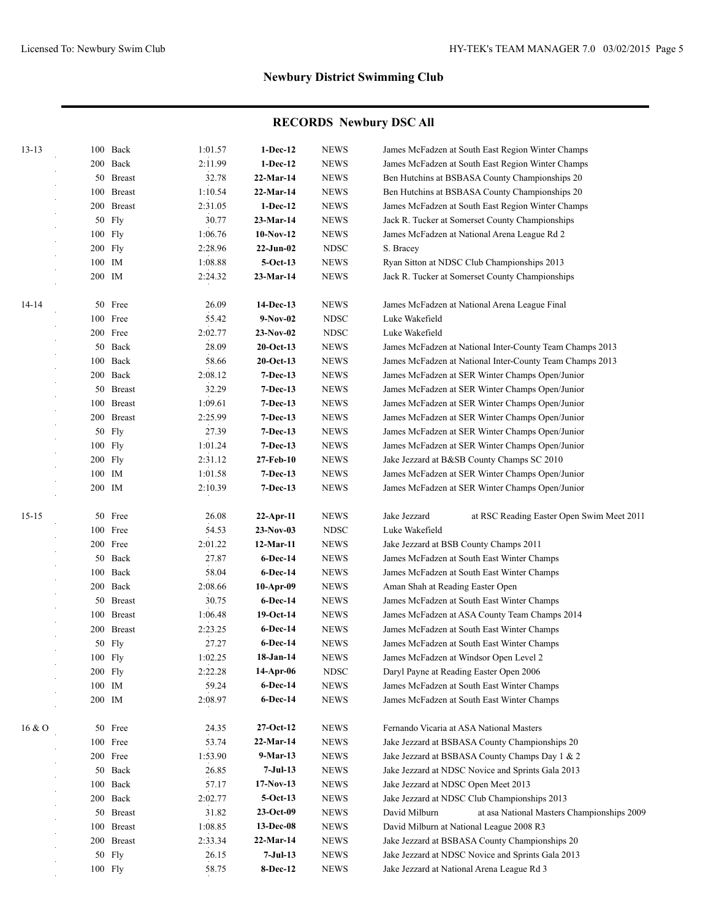| $13 - 13$ | 100 Back   | 1:01.57 | $1-Dec-12$   | <b>NEWS</b>  | James McFadzen at South East Region Winter Champs           |
|-----------|------------|---------|--------------|--------------|-------------------------------------------------------------|
|           | 200 Back   | 2:11.99 | $1-Dec-12$   | <b>NEWS</b>  | James McFadzen at South East Region Winter Champs           |
|           | 50 Breast  | 32.78   | 22-Mar-14    | <b>NEWS</b>  | Ben Hutchins at BSBASA County Championships 20              |
|           | 100 Breast | 1:10.54 | 22-Mar-14    | <b>NEWS</b>  | Ben Hutchins at BSBASA County Championships 20              |
|           | 200 Breast | 2:31.05 | $1-Dec-12$   | <b>NEWS</b>  | James McFadzen at South East Region Winter Champs           |
|           | 50 Fly     | 30.77   | 23-Mar-14    | <b>NEWS</b>  | Jack R. Tucker at Somerset County Championships             |
|           | 100 Fly    | 1:06.76 | $10-Nov-12$  | <b>NEWS</b>  | James McFadzen at National Arena League Rd 2                |
|           | 200 Fly    | 2:28.96 | $22-Jun-02$  | <b>NDSC</b>  | S. Bracey                                                   |
|           | 100 IM     | 1:08.88 | $5-Oct-13$   | <b>NEWS</b>  | Ryan Sitton at NDSC Club Championships 2013                 |
|           | 200 IM     | 2:24.32 | 23-Mar-14    | <b>NEWS</b>  | Jack R. Tucker at Somerset County Championships             |
| 14-14     | 50 Free    | 26.09   | 14-Dec-13    | <b>NEWS</b>  | James McFadzen at National Arena League Final               |
|           | 100 Free   | 55.42   | $9-Nov-02$   | <b>NDSC</b>  | Luke Wakefield                                              |
|           | 200 Free   | 2:02.77 | $23-Nov-02$  | <b>NDSC</b>  | Luke Wakefield                                              |
|           | 50 Back    | 28.09   | $20$ -Oct-13 | <b>NEWS</b>  | James McFadzen at National Inter-County Team Champs 2013    |
|           | 100 Back   | 58.66   | $20$ -Oct-13 | <b>NEWS</b>  | James McFadzen at National Inter-County Team Champs 2013    |
|           | 200 Back   | 2:08.12 | $7-Dec-13$   | <b>NEWS</b>  | James McFadzen at SER Winter Champs Open/Junior             |
|           | 50 Breast  | 32.29   | $7-Dec-13$   | <b>NEWS</b>  | James McFadzen at SER Winter Champs Open/Junior             |
|           | 100 Breast | 1:09.61 | $7-Dec-13$   | <b>NEWS</b>  | James McFadzen at SER Winter Champs Open/Junior             |
|           | 200 Breast | 2:25.99 | $7-Dec-13$   | <b>NEWS</b>  | James McFadzen at SER Winter Champs Open/Junior             |
|           | 50 Fly     | 27.39   | $7-Dec-13$   | <b>NEWS</b>  | James McFadzen at SER Winter Champs Open/Junior             |
|           | 100 Fly    | 1:01.24 | $7-Dec-13$   | <b>NEWS</b>  | James McFadzen at SER Winter Champs Open/Junior             |
|           | 200 Fly    | 2:31.12 | 27-Feb-10    | <b>NEWS</b>  | Jake Jezzard at B&SB County Champs SC 2010                  |
|           | 100 IM     | 1:01.58 | $7-Dec-13$   | <b>NEWS</b>  | James McFadzen at SER Winter Champs Open/Junior             |
|           | 200 IM     | 2:10.39 | $7-Dec-13$   | <b>NEWS</b>  | James McFadzen at SER Winter Champs Open/Junior             |
| $15 - 15$ | 50 Free    | 26.08   | $22$ -Apr-11 | <b>NEWS</b>  | Jake Jezzard<br>at RSC Reading Easter Open Swim Meet 2011   |
|           | 100 Free   | 54.53   | $23-Nov-03$  | <b>NDSC</b>  | Luke Wakefield                                              |
|           | 200 Free   | 2:01.22 | 12-Mar-11    | <b>NEWS</b>  | Jake Jezzard at BSB County Champs 2011                      |
|           | 50 Back    | 27.87   | $6$ -Dec-14  | <b>NEWS</b>  | James McFadzen at South East Winter Champs                  |
|           | 100 Back   | 58.04   | $6$ -Dec-14  | <b>NEWS</b>  | James McFadzen at South East Winter Champs                  |
|           | 200 Back   | 2:08.66 | $10-Apr-09$  | <b>NEWS</b>  | Aman Shah at Reading Easter Open                            |
|           | 50 Breast  | 30.75   | $6$ -Dec-14  | <b>NEWS</b>  | James McFadzen at South East Winter Champs                  |
|           | 100 Breast | 1:06.48 | 19-Oct-14    | <b>NEWS</b>  | James McFadzen at ASA County Team Champs 2014               |
|           | 200 Breast | 2:23.25 | $6$ -Dec-14  | <b>NEWS</b>  | James McFadzen at South East Winter Champs                  |
|           | 50 Fly     | 27.27   | $6$ -Dec-14  | <b>NEWS</b>  | James McFadzen at South East Winter Champs                  |
|           | 100 Fly    | 1:02.25 | 18-Jan-14    | <b>NEWS</b>  | James McFadzen at Windsor Open Level 2                      |
|           | 200 Fly    | 2:22.28 | 14-Apr-06    | <b>NDSC</b>  | Daryl Payne at Reading Easter Open 2006                     |
|           | 100 IM     | 59.24   | 6-Dec-14     | <b>NEWS</b>  | James McFadzen at South East Winter Champs                  |
|           | 200 IM     | 2:08.97 | 6-Dec-14     | <b>NEWS</b>  | James McFadzen at South East Winter Champs                  |
| 16 & O    | 50 Free    | 24.35   | 27-Oct-12    | <b>NEWS</b>  | Fernando Vicaria at ASA National Masters                    |
|           | 100 Free   | 53.74   | 22-Mar-14    | <b>NEWS</b>  | Jake Jezzard at BSBASA County Championships 20              |
|           | 200 Free   | 1:53.90 | 9-Mar-13     | <b>NEWS</b>  | Jake Jezzard at BSBASA County Champs Day 1 & 2              |
|           | 50 Back    | 26.85   | $7-Jul-13$   | ${\rm NEWS}$ | Jake Jezzard at NDSC Novice and Sprints Gala 2013           |
|           | 100 Back   | 57.17   | $17-Nov-13$  | ${\rm NEWS}$ | Jake Jezzard at NDSC Open Meet 2013                         |
|           | 200 Back   | 2:02.77 | $5-Oct-13$   | <b>NEWS</b>  | Jake Jezzard at NDSC Club Championships 2013                |
|           | 50 Breast  | 31.82   | 23-Oct-09    | <b>NEWS</b>  | David Milburn<br>at asa National Masters Championships 2009 |
|           | 100 Breast | 1:08.85 | 13-Dec-08    | <b>NEWS</b>  | David Milburn at National League 2008 R3                    |
|           | 200 Breast | 2:33.34 | $22-Mar-14$  | <b>NEWS</b>  | Jake Jezzard at BSBASA County Championships 20              |
|           | 50 Fly     | 26.15   | $7-Jul-13$   | <b>NEWS</b>  | Jake Jezzard at NDSC Novice and Sprints Gala 2013           |
|           | 100 Fly    | 58.75   | 8-Dec-12     | <b>NEWS</b>  | Jake Jezzard at National Arena League Rd 3                  |